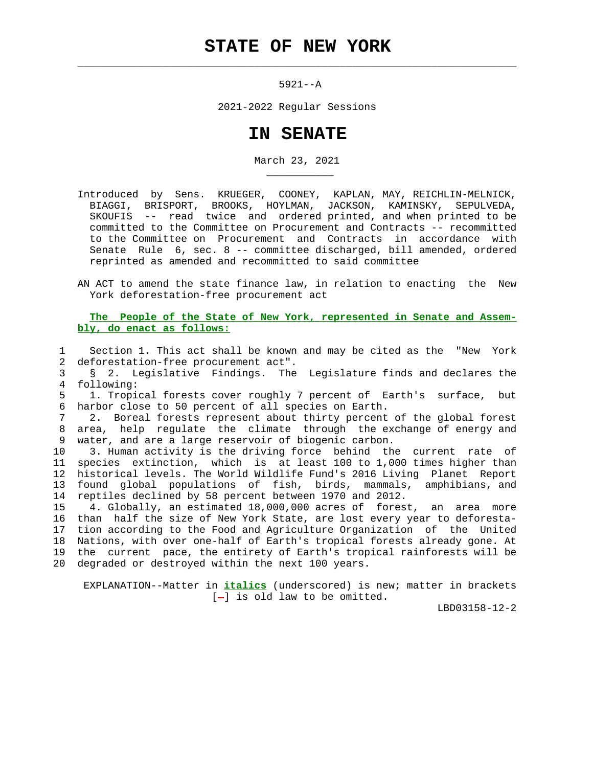## **STATE OF NEW YORK**

 $\mathcal{L}_\text{max} = \frac{1}{2} \sum_{i=1}^{n} \frac{1}{2} \sum_{i=1}^{n} \frac{1}{2} \sum_{i=1}^{n} \frac{1}{2} \sum_{i=1}^{n} \frac{1}{2} \sum_{i=1}^{n} \frac{1}{2} \sum_{i=1}^{n} \frac{1}{2} \sum_{i=1}^{n} \frac{1}{2} \sum_{i=1}^{n} \frac{1}{2} \sum_{i=1}^{n} \frac{1}{2} \sum_{i=1}^{n} \frac{1}{2} \sum_{i=1}^{n} \frac{1}{2} \sum_{i=1}^{n} \frac{1$ 

\_\_\_\_\_\_\_\_\_\_\_

5921--A

2021-2022 Regular Sessions

## **IN SENATE**

March 23, 2021

- Introduced by Sens. KRUEGER, COONEY, KAPLAN, MAY, REICHLIN-MELNICK, BIAGGI, BRISPORT, BROOKS, HOYLMAN, JACKSON, KAMINSKY, SEPULVEDA, SKOUFIS -- read twice and ordered printed, and when printed to be committed to the Committee on Procurement and Contracts -- recommitted to the Committee on Procurement and Contracts in accordance with Senate Rule 6, sec. 8 -- committee discharged, bill amended, ordered reprinted as amended and recommitted to said committee
- AN ACT to amend the state finance law, in relation to enacting the New York deforestation-free procurement act

 **The People of the State of New York, represented in Senate and Assem bly, do enact as follows:**

 1 Section 1. This act shall be known and may be cited as the "New York 2 deforestation-free procurement act".

 3 § 2. Legislative Findings. The Legislature finds and declares the 4 following:

 5 1. Tropical forests cover roughly 7 percent of Earth's surface, but 6 harbor close to 50 percent of all species on Earth.

 7 2. Boreal forests represent about thirty percent of the global forest 8 area, help regulate the climate through the exchange of energy and 9 water, and are a large reservoir of biogenic carbon.

 10 3. Human activity is the driving force behind the current rate of 11 species extinction, which is at least 100 to 1,000 times higher than 12 historical levels. The World Wildlife Fund's 2016 Living Planet Report 13 found global populations of fish, birds, mammals, amphibians, and 14 reptiles declined by 58 percent between 1970 and 2012.

 15 4. Globally, an estimated 18,000,000 acres of forest, an area more 16 than half the size of New York State, are lost every year to deforesta- 17 tion according to the Food and Agriculture Organization of the United 18 Nations, with over one-half of Earth's tropical forests already gone. At 19 the current pace, the entirety of Earth's tropical rainforests will be 20 degraded or destroyed within the next 100 years.

 EXPLANATION--Matter in **italics** (underscored) is new; matter in brackets  $[-]$  is old law to be omitted.

LBD03158-12-2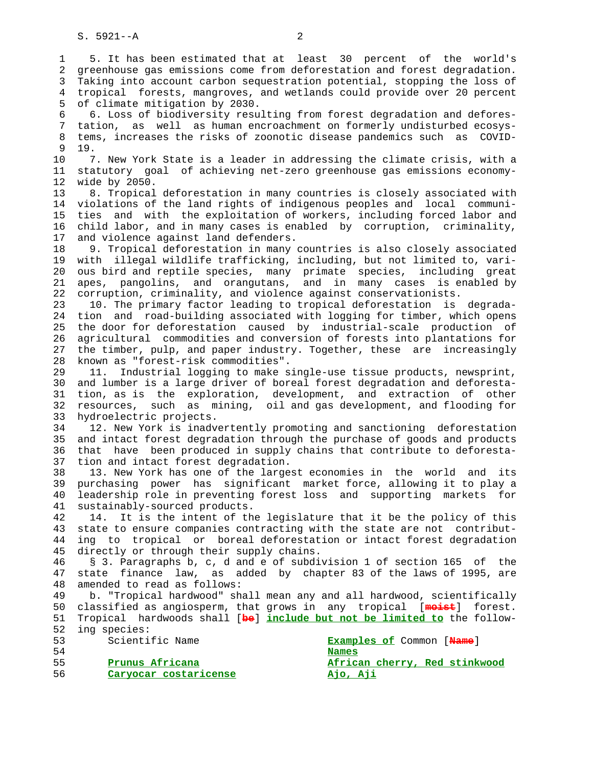1 5. It has been estimated that at least 30 percent of the world's 2 greenhouse gas emissions come from deforestation and forest degradation. 3 Taking into account carbon sequestration potential, stopping the loss of 4 tropical forests, mangroves, and wetlands could provide over 20 percent 5 of climate mitigation by 2030. 6 6. Loss of biodiversity resulting from forest degradation and defores- 7 tation, as well as human encroachment on formerly undisturbed ecosys- 8 tems, increases the risks of zoonotic disease pandemics such as COVID-  $\begin{array}{cc} 9 & 19 \\ 10 & 7 \end{array}$ 7. New York State is a leader in addressing the climate crisis, with a 11 statutory goal of achieving net-zero greenhouse gas emissions economy- 12 wide by 2050. 13 8. Tropical deforestation in many countries is closely associated with 14 violations of the land rights of indigenous peoples and local communi- 15 ties and with the exploitation of workers, including forced labor and 16 child labor, and in many cases is enabled by corruption, criminality, 17 and violence against land defenders. 18 9. Tropical deforestation in many countries is also closely associated 19 with illegal wildlife trafficking, including, but not limited to, vari- 20 ous bird and reptile species, many primate species, including great 21 apes, pangolins, and orangutans, and in many cases is enabled by 22 corruption, criminality, and violence against conservationists. 23 10. The primary factor leading to tropical deforestation is degrada- 24 tion and road-building associated with logging for timber, which opens 25 the door for deforestation caused by industrial-scale production of 26 agricultural commodities and conversion of forests into plantations for 27 the timber, pulp, and paper industry. Together, these are increasingly 28 known as "forest-risk commodities". 29 11. Industrial logging to make single-use tissue products, newsprint, 30 and lumber is a large driver of boreal forest degradation and deforesta- 31 tion, as is the exploration, development, and extraction of other 32 resources, such as mining, oil and gas development, and flooding for 33 hydroelectric projects. 34 12. New York is inadvertently promoting and sanctioning deforestation 35 and intact forest degradation through the purchase of goods and products 36 that have been produced in supply chains that contribute to deforesta- 37 tion and intact forest degradation. 38 13. New York has one of the largest economies in the world and its 39 purchasing power has significant market force, allowing it to play a 40 leadership role in preventing forest loss and supporting markets for 41 sustainably-sourced products. 42 14. It is the intent of the legislature that it be the policy of this 43 state to ensure companies contracting with the state are not contribut- 44 ing to tropical or boreal deforestation or intact forest degradation 45 directly or through their supply chains. 46 § 3. Paragraphs b, c, d and e of subdivision 1 of section 165 of the 47 state finance law, as added by chapter 83 of the laws of 1995, are 48 amended to read as follows: 49 b. "Tropical hardwood" shall mean any and all hardwood, scientifically 50 classified as angiosperm, that grows in any tropical [**moist**] forest. 51 Tropical hardwoods shall [**be**] **include but not be limited to** the follow- 52 ing species: 53 Scientific Name **Examples of** Common [**Name**] 54 **Names** 55 **Prunus Africana African cherry, Red stinkwood**

56 **Caryocar costaricense Ajo, Aji**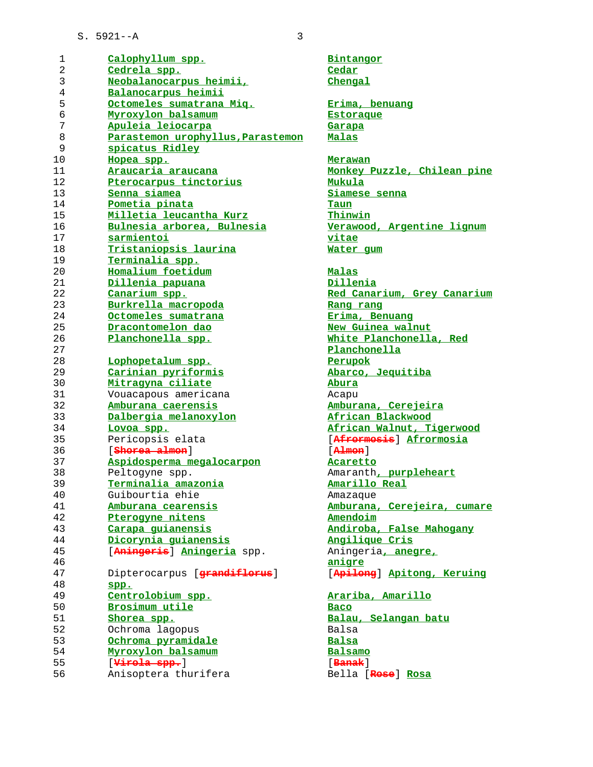| 1              | Calophyllum spp.                  | Bintangor               |
|----------------|-----------------------------------|-------------------------|
| $\overline{a}$ | Cedrela spp.                      | Cedar                   |
| 3              | Neobalanocarpus heimii,           | Chengal                 |
| $\bf 4$        | Balanocarpus heimii               |                         |
| 5              | Octomeles sumatrana Miq.          | Erima, benuang          |
| $\epsilon$     | Myroxylon balsamum                | Estoraque               |
| 7              | Apuleia leiocarpa                 | Garapa                  |
| 8              | Parastemon urophyllus, Parastemon | Malas                   |
| 9              | spicatus Ridley                   |                         |
| 10             | Hopea spp.                        | Merawan                 |
| 11             | Araucaria araucana                | Monkey Puzzle, Ch.      |
| 12             | Pterocarpus tinctorius            | Mukula                  |
| 13             | Senna siamea                      | Siamese senna           |
| 14             | Pometia pinata                    | Taun                    |
| 15             | Milletia leucantha Kurz           | Thinwin                 |
| 16             | Bulnesia arborea, Bulnesia        | Verawood, Argenti       |
| 17             | sarmientoi                        | vitae                   |
| 18             | Tristaniopsis laurina             | Water gum               |
| 19             | Terminalia spp.                   |                         |
| 20             |                                   |                         |
|                | Homalium foetidum                 | <b>Malas</b>            |
| 21             | Dillenia papuana                  | <b>Dillenia</b>         |
| 22             | Canarium spp.                     | Red Canarium, Gre       |
| 23             | Burkrella macropoda               | Rang rang               |
| 24             | Octomeles sumatrana               | Erima, Benuang          |
| 25             | Dracontomelon dao                 | New Guinea walnut       |
| 26             | Planchonella spp.                 | White Planchonella      |
| 27             |                                   | Planchonella            |
| 28             | Lophopetalum spp.                 | Perupok                 |
| 29             | Carinian pyriformis               | Abarco, Jequitiba       |
| 30             | Mitragyna ciliate                 | Abura                   |
| 31             | Vouacapous americana              | Acapu                   |
| 32             | Amburana caerensis                | Amburana, Cerejei:      |
| 33             | Dalbergia melanoxylon             | African Blackwood       |
| 34             | Lovoa spp.                        | African Walnut, T.      |
| 35             | Pericopsis elata                  | [Afrormosis] Afro       |
| 36             | [ <del>Shorea almon</del> ]       | $[$ $A$ $]$ $m$ $n$ $]$ |
| 37             | Aspidosperma megalocarpon         | Acaretto                |
| 38             | Peltogyne spp.                    | Amaranth, purpleh       |
| 39             | <u>Terminalia amazonia</u>        | Amarillo Real           |
| 40             | Guibourtia ehie                   | Amazaque                |
| 41             | Amburana cearensis                | Amburana, Cerejei:      |
| 42             | Pterogyne nitens                  | Amendoim                |
| 43             | Carapa quianensis                 | Andiroba, False Ma      |
| 44             | Dicorynia guianensis              | Angilique Cris          |
| 45             | [Aningeris] Aningeria spp.        | Aningeria, anegre       |
| 46             |                                   | anigre                  |
| 47             | Dipterocarpus [grandiflorus]      | [Apilong] Apitong       |
| 48             | spp.                              |                         |
| 49             | Centrolobium spp.                 | Arariba, Amarillo       |
| 50             | Brosimum utile                    | <u>Baco</u>             |
| 51             | Shorea spp.                       | Balau, Selangan b       |
| 52             | Ochroma lagopus                   | Balsa                   |
| 53             | Ochroma pyramidale                | <b>Balsa</b>            |
| 54             | Myroxylon balsamum                | Balsamo                 |
| 55             | [Virola spp.]                     | $[$ Banak $]$           |
| 56             | Anisoptera thurifera              | Bella [Rose] Rosa       |
|                |                                   |                         |

 $Chenqal$ **Octomeles sumatrana Miq. Erima, benuang Estoraque Apuleia leiocarpa Garapa Hopea spp. Merawan Araucaria araucana Monkey Puzzle, Chilean pine Senna siamea Siamese senna Milletia leucantha Kurz Thinwin Bulnesia arborea, Bulnesia Verawood, Argentine lignum Water gum Dillenia papuana Dillenia Red Canarium, Grey Canarium Burkrella macropoda Rang rang Octomeles sumatrana Erima, Benuang New Guinea walnut Planchonella spp. White Planchonella, Red Planchonella Lophopetalum spp. Perupok Carinian pyriformis Abarco, Jequitiba Amburana caerensis Amburana, Cerejeira Dalbergia melanoxylon African Blackwood Lovoa spp. African Walnut, Tigerwood** 35 Pericopsis elata [**Afrormosis**] **Afrormosia** 36 [**Shorea almon**] [**Almon**] **Aspidosperma megalocarpon Acaretto** Amaranth, purpleheart **Terminalia amazonia Amarillo Real** Amazaque **Amburana cearensis Amburana, Cerejeira, cumare Amendoim Carapa guianensis Andiroba, False Mahogany Dicorynia guianensis Angilique Cris** 45 [**Aningeris**] **Aningeria** spp. Aningeria**, anegre,** 47 Dipterocarpus [**grandiflorus**] [**Apilong**] **Apitong, Keruing Centrolobium spp. Arariba, Amarillo Shorea spp. Balau, Selangan batu**

**Myroxylon balsamum Balsamo** 55 [**Virola spp.**] [**Banak**]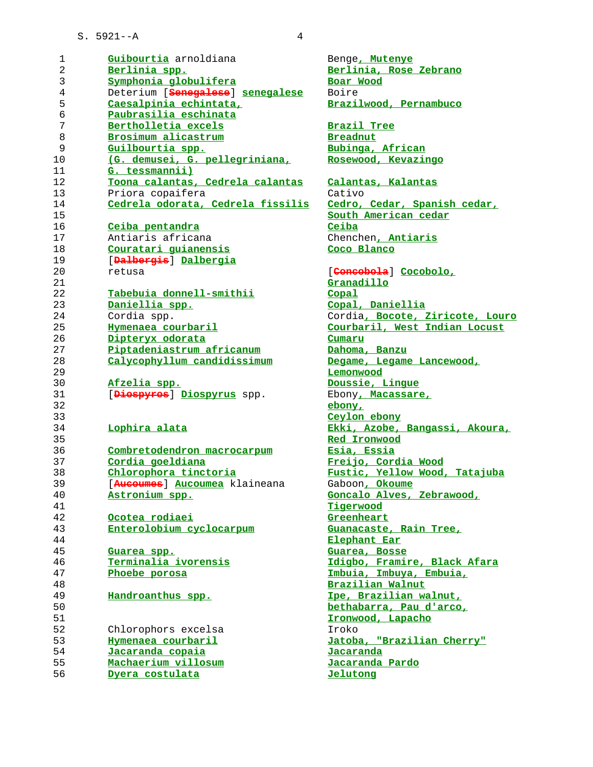| 1              | Guibourtia arnoldiana             | Benge, Mutenye               |
|----------------|-----------------------------------|------------------------------|
| $\overline{2}$ | Berlinia spp.                     | Berlinia, Rose               |
| 3              | Symphonia globulifera             | Boar Wood                    |
| $\overline{4}$ | Deterium [Senegalese] senegalese  | Boire                        |
| 5              | Caesalpinia echintata,            | Brazilwood, Per              |
| $\epsilon$     | Paubrasilia eschinata             |                              |
| 7              | Bertholletia excels               | Brazil Tree                  |
| $\,8\,$        | Brosimum alicastrum               | <b>Breadnut</b>              |
| 9              | Guilbourtia spp.                  | Bubinga, Africa              |
| 10             | (G. demusei, G. pellegriniana,    | Rosewood, Kevaz              |
| 11             | G. tessmannii)                    |                              |
| 12             | Toona calantas, Cedrela calantas  | Calantas, Kalar              |
| 13             | Priora copaifera                  | Cativo                       |
| 14             | Cedrela odorata, Cedrela fissilis | Cedro, Cedar, S              |
| 15             |                                   | South American               |
| 16             | Ceiba pentandra                   | Ceiba                        |
| 17             | Antiaris africana                 | Chenchen, Antia              |
| 18             | Couratari quianensis              | Coco Blanco                  |
| 19             | [Dalbergis] Dalbergia             |                              |
| 20             | retusa                            | [ <del>Concobola</del> ] Cod |
| 21             |                                   | Granadillo                   |
| 22             | Tabebuia donnell-smithii          | Copal                        |
| 23             | Daniellia spp.                    | Copal, Danielli              |
| 24             | Cordia spp.                       | Cordia, Bocote,              |
| 25             | Hymenaea courbaril                | Courbaril, West              |
| 26             | Dipteryx odorata                  | Cumaru                       |
| 27             | Piptadeniastrum africanum         | Dahoma, Banzu                |
| 28             | Calycophyllum candidissimum       | Degame, Legame               |
| 29             |                                   | Lemonwood                    |
| 30             | Afzelia spp.                      | Doussie, Lingue              |
| 31             | [Diespyres] Diospyrus spp.        | Ebony, Macassar              |
| 32             |                                   | ebony,                       |
| 33             |                                   | Ceylon ebony                 |
| 34             | Lophira alata                     | Ekki, Azobe, Ba              |
| 35             |                                   | Red Ironwood                 |
| 36             | Combretodendron macrocarpum       | Esia, Essia                  |
| 37             | Cordia goeldiana                  | Freijo, Cordia               |
| 38             | Chlorophora tinctoria             | Fustic, Yellow               |
| 39             | [Ausoumes] Aucoumea klaineana     | Gaboon, Okoume               |
| 40             | Astronium spp.                    | Goncalo Alves,               |
| 41             |                                   | Tigerwood                    |
| 42             | Ocotea rodiaei                    | Greenheart                   |
| 43             | Enterolobium cyclocarpum          | Guanacaste, Rai              |
| 44             |                                   | Elephant Ear                 |
| 45             | Guarea spp.                       | Guarea, Bosse                |
| 46             | Terminalia ivorensis              | Idigbo, Framire              |
| 47             | Phoebe porosa                     | Imbuia, Imbuya,              |
| 48             |                                   | <b>Brazilian Walnu</b>       |
| 49             | Handroanthus spp.                 | Ipe, Brazilian               |
| 50             |                                   | bethabarra, Pau              |
| 51             |                                   | Ironwood, Lapac              |
| 52             | Chlorophors excelsa               | Iroko                        |
| 53             | Hymenaea courbaril                | Jatoba, "Brazil              |
| 54             | Jacaranda copaia                  | Jacaranda                    |
| 55             | Machaerium villosum               | Jacaranda Pardo              |
| 56             | Dyera costulata                   |                              |
|                |                                   | Jelutong                     |

**Berlinia spp. Berlinia, Rose Zebrano Caesalpinia echintata, Brazilwood, Pernambuco Bertholletia excels Brazil Tree** <u>binga, African</u> <u>kewood, Kevazingo</u> **Toona calantas, Cedrela calantas Calantas, Kalantas** <mark>lro, Cedar, Spanish cedar,</mark> **South American cedar** 17 Antiaris africana Chenchen**, Antiaris Couratari guianensis Coco Blanco** 20 retusa [**Concobola**] **Cocobolo,** <u>nadillo</u> **Daniellia spp. Copal, Daniellia** 24 Cordia spp. Cordia**, Bocote, Ziricote, Louro Hymenaea courbaril Courbaril, West Indian Locust Piptadeniastrum africanum Dahoma, Banzu Calycophyllum candidissimum Degame, Legame Lancewood, Lemonwood Afzelia spp. Doussie, Lingue**  $\delta$ phy, Macassare, **lon** ebony **Lophira alata Ekki, Azobe, Bangassi, Akoura, Red Ironwood Combretodendron macrocarpum Esia, Essia Cordia goeldiana Freijo, Cordia Wood Chlorophora tinctoria Fustic, Yellow Wood, Tatajuba**  $\mathop{{\rm soon}}\nolimits$  *A* channees **Astronium spp. Goncalo Alves, Zebrawood, Ocotea rodiaei Greenheart Enterolobium cyclocarpum Guanacaste, Rain Tree, Elephant Ear Guarea spp. Guarea, Bosse Terminalia ivorensis Idigbo, Framire, Black Afara Phoebe porosa Imbuia, Imbuya, Embuia, Brazilian Walnut** *Brazilian walnut,* **bethabarra, Pau d'arco, Ironwood, Lapacho Hymenaea courbaril Jatoba, "Brazilian Cherry" Machaerium villosum Jacaranda Pardo**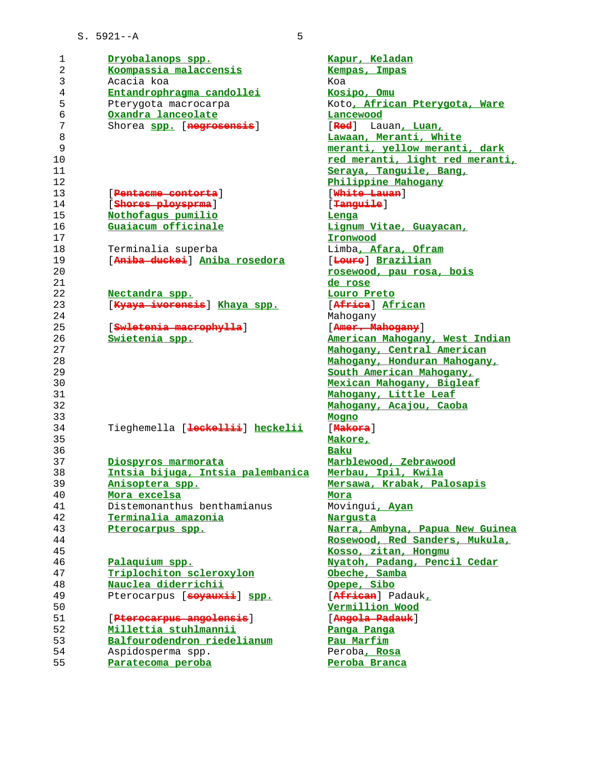| 1  | Dryobalanops spp.                                   | Kapur, Keladan                  |
|----|-----------------------------------------------------|---------------------------------|
| 2  | Koompassia malaccensis                              | Kempas, Impas                   |
| 3  | Acacia koa                                          | Koa                             |
| 4  | Entandrophragma candollei                           | Kosipo, Omu                     |
| 5  | Pterygota macrocarpa                                | Koto, African Pterygota, Ware   |
| 6  | Oxandra lanceolate                                  | Lancewood                       |
| 7  | Shorea spp. [negrosensis]                           | [Red] Lauan, Luan,              |
| 8  |                                                     | Lawaan, Meranti, White          |
| 9  |                                                     | meranti, yellow meranti, dark   |
| 10 |                                                     | red meranti, light red meranti, |
| 11 |                                                     | Seraya, Tanquile, Bang,         |
| 12 |                                                     | Philippine Mahogany             |
| 13 | [Pentaeme contorta]                                 | [White Lauan]                   |
| 14 | [Shores ploysprma]                                  | [Tanguile]                      |
| 15 | Nothofaqus pumilio                                  | Lenga                           |
| 16 | Guaiacum officinale                                 | Lignum Vitae, Guayacan,         |
| 17 |                                                     | Ironwood                        |
| 18 |                                                     | Limba, Afara, Ofram             |
| 19 | Terminalia superba<br>[Aniba duckei] Aniba rosedora | [Loure] Brazilian               |
| 20 |                                                     |                                 |
|    |                                                     | rosewood, pau rosa, bois        |
| 21 |                                                     | de rose                         |
| 22 | Nectandra spp.                                      | Louro Preto                     |
| 23 | [Kyaya iverensis] Khaya spp.                        | [Africa] African                |
| 24 |                                                     | Mahogany                        |
| 25 | [Swletenia macrophylla]                             | [Amer. Mahogany]                |
| 26 | Swietenia spp.                                      | American Mahogany, West Indian  |
| 27 |                                                     | Mahogany, Central American      |
| 28 |                                                     | Mahogany, Honduran Mahogany,    |
| 29 |                                                     | South American Mahogany,        |
| 30 |                                                     | Mexican Mahogany, Bigleaf       |
| 31 |                                                     | Mahogany, Little Leaf           |
| 32 |                                                     | Mahogany, Acajou, Caoba         |
| 33 |                                                     | Mogno                           |
| 34 | Tieghemella [ <del>leckellii</del> ] heckelii       | [Makora]                        |
| 35 |                                                     | Makore,                         |
| 36 |                                                     | Baku                            |
| 37 | Diospyros marmorata                                 | Marblewood, Zebrawood           |
| 38 | Intsia bijuga, Intsia palembanica                   | Merbau, Ipil, Kwila             |
| 39 | Anisoptera spp.                                     | Mersawa, Krabak, Palosapis      |
| 40 | Mora excelsa                                        | <u>Mora</u>                     |
| 41 | Distemonanthus benthamianus                         | Movingui, Ayan                  |
| 42 | Terminalia amazonia                                 | <b>Narqusta</b>                 |
| 43 | Pterocarpus spp.                                    | Narra, Ambyna, Papua New Guinea |
| 44 |                                                     | Rosewood, Red Sanders, Mukula,  |
| 45 |                                                     | Kosso, zitan, Hongmu            |
| 46 | Palaquium spp.                                      | Nyatoh, Padang, Pencil Cedar    |
| 47 | Triplochiton scleroxylon                            | Obeche, Samba                   |
| 48 | Nauclea diderrichii                                 | Opepe, Sibo                     |
| 49 | Pterocarpus [soyauxii] spp.                         | [African] Padauk,               |
| 50 |                                                     | Vermillion Wood                 |
| 51 | [ <del>Pterocarpus angolensis</del> ]               | [ <del>Angola Padauk</del> ]    |
| 52 | Millettia stuhlmannii                               | Panga Panga                     |
| 53 | Balfourodendron riedelianum                         | Pau Marfim                      |
|    |                                                     |                                 |
| 54 | Aspidosperma spp.                                   | Peroba, Rosa                    |
| 55 | Paratecoma peroba                                   | Peroba Branca                   |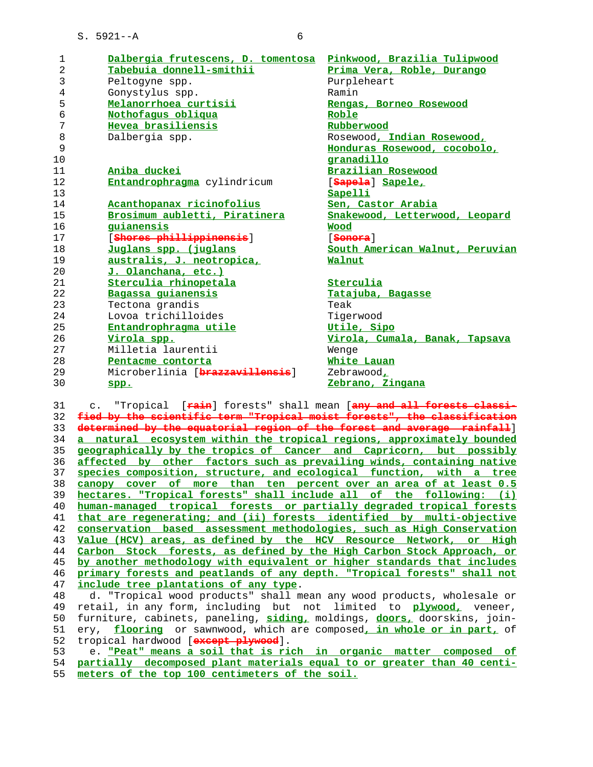| 1       | Dalbergia frutescens, D. tomentosa | Pinkwood, Brazilia Tulipwood    |
|---------|------------------------------------|---------------------------------|
| 2       | Tabebuia donnell-smithii           | Prima Vera, Roble, Durango      |
| 3       | Peltogyne spp.                     | Purpleheart                     |
| 4       | Gonystylus spp.                    | Ramin                           |
| 5       | Melanorrhoea curtisii              | Rengas, Borneo Rosewood         |
| б       | Nothofaqus obliqua                 | Roble                           |
| 7       | Hevea brasiliensis                 | Rubberwood                      |
| $\,8\,$ | Dalbergia spp.                     | Rosewood, Indian Rosewood,      |
| 9       |                                    | Honduras Rosewood, cocobolo,    |
| 10      |                                    | granadillo                      |
| 11      | Aniba duckei                       | Brazilian Rosewood              |
| 12      | Entandrophragma cylindricum        | [ <del>Sapela</del> ] Sapele,   |
| 13      |                                    | Sapelli                         |
| 14      | Acanthopanax ricinofolius          | Sen, Castor Arabia              |
| 15      | Brosimum aubletti, Piratinera      | Snakewood, Letterwood, Leopard  |
| 16      | quianensis                         | Wood                            |
| 17      | [Shores phillippinensis]           | [ <del>Sonora</del> ]           |
| 18      | Juglans spp. (juglans              | South American Walnut, Peruvian |
| 19      | australis, J. neotropica,          | Walnut                          |
| 20      | J. Olanchana, etc.)                |                                 |
| 21      | Sterculia rhinopetala              | Sterculia                       |
| 22      | Bagassa guianensis                 | Tatajuba, Bagasse               |
| 23      | Tectona grandis                    | Teak                            |
| 24      | Lovoa trichilloides                | Tigerwood                       |
| 25      | Entandrophragma utile              | Utile, Sipo                     |
| 26      | Virola spp.                        | Virola, Cumala, Banak, Tapsava  |
| 27      | Milletia laurentii                 | Wenge                           |
| 28      | Pentacme contorta                  | White Lauan                     |
| 29      | Microberlinia [brazzavillensis]    | Zebrawood,                      |
| 30      | spp.                               | Zebrano, Zingana                |

 31 c. "Tropical [**rain**] forests" shall mean [**any and all forests classi- fied by the scientific term "Tropical moist forests", the classification determined by the equatorial region of the forest and average rainfall**] **a natural ecosystem within the tropical regions, approximately bounded geographically by the tropics of Cancer and Capricorn, but possibly affected by other factors such as prevailing winds, containing native species composition, structure, and ecological function, with a tree canopy cover of more than ten percent over an area of at least 0.5 hectares. "Tropical forests" shall include all of the following: (i) human-managed tropical forests or partially degraded tropical forests that are regenerating; and (ii) forests identified by multi-objective conservation based assessment methodologies, such as High Conservation Value (HCV) areas, as defined by the HCV Resource Network, or High Carbon Stock forests, as defined by the High Carbon Stock Approach, or by another methodology with equivalent or higher standards that includes primary forests and peatlands of any depth. "Tropical forests" shall not include tree plantations of any type**.

48 d. "Tropical wood products" shall mean any wood products, wholesale or<br>49 retail, in any form, including but not limited to plywood, veneer, 49 retail, in any form, including but not limited to **plywood,** veneer, 50 furniture, cabinets, paneling, **siding,** moldings, **doors,** doorskins, join- 51 ery, **flooring** or sawnwood, which are composed**, in whole or in part,** of 52 tropical hardwood [**except plywood**].

 53 e. **"Peat" means a soil that is rich in organic matter composed of partially decomposed plant materials equal to or greater than 40 centi-**

**meters of the top 100 centimeters of the soil.**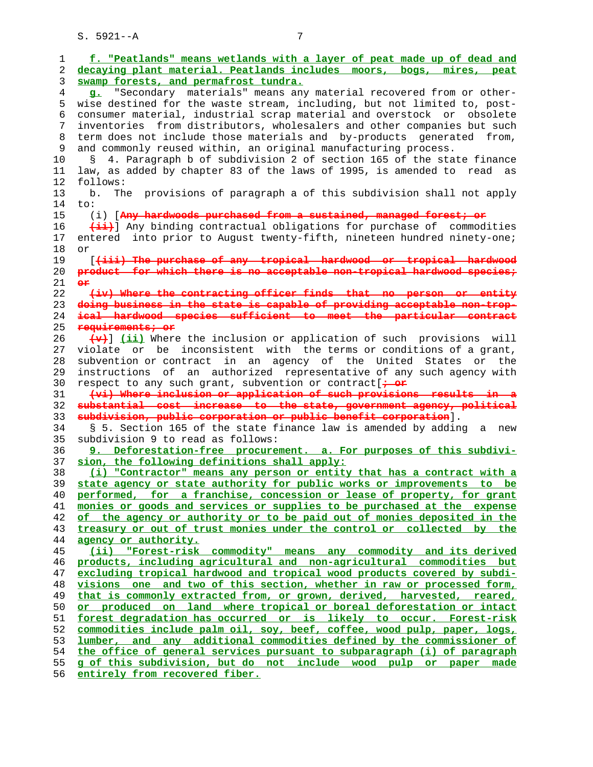**f. "Peatlands" means wetlands with a layer of peat made up of dead and decaying plant material. Peatlands includes moors, bogs, mires, peat swamp forests, and permafrost tundra. g.** "Secondary materials" means any material recovered from or other- 5 wise destined for the waste stream, including, but not limited to, post- 6 consumer material, industrial scrap material and overstock or obsolete 7 inventories from distributors, wholesalers and other companies but such 8 term does not include those materials and by-products generated from, 9 and commonly reused within, an original manufacturing process. 10 § 4. Paragraph b of subdivision 2 of section 165 of the state finance 11 law, as added by chapter 83 of the laws of 1995, is amended to read as 12 follows: 13 b. The provisions of paragraph a of this subdivision shall not apply 14 to: 15 (i) [**Any hardwoods purchased from a sustained, managed forest; or (ii)**] Any binding contractual obligations for purchase of commodities 17 entered into prior to August twenty-fifth, nineteen hundred ninety-one; 18 or 19 [**(iii) The purchase of any tropical hardwood or tropical hardwood product for which there is no acceptable non-tropical hardwood species; or (iv) Where the contracting officer finds that no person or entity doing business in the state is capable of providing acceptable non-trop- ical hardwood species sufficient to meet the particular contract requirements; or (v)**] **(ii)** Where the inclusion or application of such provisions will 27 violate or be inconsistent with the terms or conditions of a grant, 28 subvention or contract in an agency of the United States or the 29 instructions of an authorized representative of any such agency with 30 respect to any such grant, subvention or contract[**; or (vi) Where inclusion or application of such provisions results in a substantial cost increase to the state, government agency, political subdivision, public corporation or public benefit corporation**]. 34 § 5. Section 165 of the state finance law is amended by adding a new 35 subdivision 9 to read as follows: **9. Deforestation-free procurement. a. For purposes of this subdivi- sion, the following definitions shall apply: (i) "Contractor" means any person or entity that has a contract with a state agency or state authority for public works or improvements to be performed, for a franchise, concession or lease of property, for grant monies or goods and services or supplies to be purchased at the expense of the agency or authority or to be paid out of monies deposited in the treasury or out of trust monies under the control or collected by the agency or authority. (ii) "Forest-risk commodity" means any commodity and its derived products, including agricultural and non-agricultural commodities but excluding tropical hardwood and tropical wood products covered by subdi- visions one and two of this section, whether in raw or processed form, that is commonly extracted from, or grown, derived, harvested, reared, or produced on land where tropical or boreal deforestation or intact forest degradation has occurred or is likely to occur. Forest-risk commodities include palm oil, soy, beef, coffee, wood pulp, paper, logs, lumber, and any additional commodities defined by the commissioner of the office of general services pursuant to subparagraph (i) of paragraph g of this subdivision, but do not include wood pulp or paper made entirely from recovered fiber.**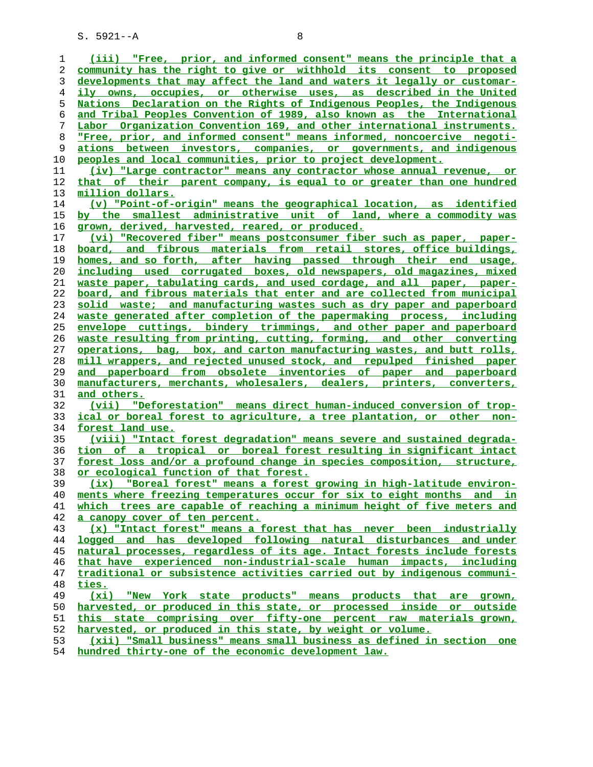**(iii) "Free, prior, and informed consent" means the principle that a community has the right to give or withhold its consent to proposed developments that may affect the land and waters it legally or customar- ily owns, occupies, or otherwise uses, as described in the United Nations Declaration on the Rights of Indigenous Peoples, the Indigenous and Tribal Peoples Convention of 1989, also known as the International Labor Organization Convention 169, and other international instruments. "Free, prior, and informed consent" means informed, noncoercive negoti- ations between investors, companies, or governments, and indigenous peoples and local communities, prior to project development. (iv) "Large contractor" means any contractor whose annual revenue, or that of their parent company, is equal to or greater than one hundred million dollars. (v) "Point-of-origin" means the geographical location, as identified by the smallest administrative unit of land, where a commodity was grown, derived, harvested, reared, or produced. (vi) "Recovered fiber" means postconsumer fiber such as paper, paper- board, and fibrous materials from retail stores, office buildings, homes, and so forth, after having passed through their end usage, including used corrugated boxes, old newspapers, old magazines, mixed waste paper, tabulating cards, and used cordage, and all paper, paper- board, and fibrous materials that enter and are collected from municipal solid waste; and manufacturing wastes such as dry paper and paperboard waste generated after completion of the papermaking process, including envelope cuttings, bindery trimmings, and other paper and paperboard waste resulting from printing, cutting, forming, and other converting operations, bag, box, and carton manufacturing wastes, and butt rolls, mill wrappers, and rejected unused stock, and repulped finished paper and paperboard from obsolete inventories of paper and paperboard manufacturers, merchants, wholesalers, dealers, printers, converters, and others. (vii) "Deforestation" means direct human-induced conversion of trop- ical or boreal forest to agriculture, a tree plantation, or other non- forest land use. (viii) "Intact forest degradation" means severe and sustained degrada- tion of a tropical or boreal forest resulting in significant intact forest loss and/or a profound change in species composition, structure, or ecological function of that forest. (ix) "Boreal forest" means a forest growing in high-latitude environ- ments where freezing temperatures occur for six to eight months and in which trees are capable of reaching a minimum height of five meters and a canopy cover of ten percent. (x) "Intact forest" means a forest that has never been industrially logged and has developed following natural disturbances and under natural processes, regardless of its age. Intact forests include forests that have experienced non-industrial-scale human impacts, including traditional or subsistence activities carried out by indigenous communi- ties. (xi) "New York state products" means products that are grown, harvested, or produced in this state, or processed inside or outside this state comprising over fifty-one percent raw materials grown, harvested, or produced in this state, by weight or volume. (xii) "Small business" means small business as defined in section one hundred thirty-one of the economic development law.**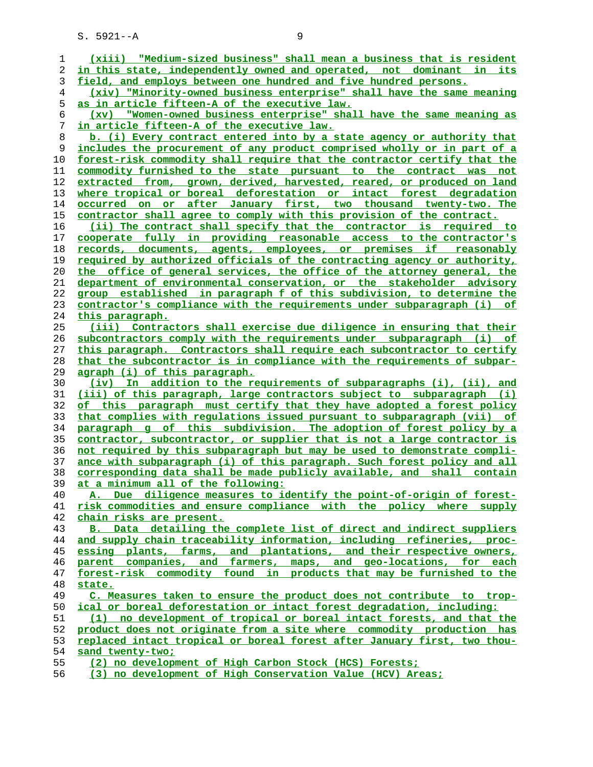| ı              | (xiii) "Medium-sized business" shall mean a business that is resident    |
|----------------|--------------------------------------------------------------------------|
| 2              | in this state, independently owned and operated, not dominant in its     |
| 3              | field, and employs between one hundred and five hundred persons.         |
| $\overline{4}$ | (xiv) "Minority-owned business enterprise" shall have the same meaning   |
| 5              | <u>as in article fifteen-A of the executive law.</u>                     |
| 6              | (xv) "Women-owned business enterprise" shall have the same meaning as    |
| 7              | <u>in article fifteen-A of the executive law.</u>                        |
| 8              | b. (i) Every contract entered into by a state agency or authority that   |
| 9              | includes the procurement of any product comprised wholly or in part of a |
| 10             | forest-risk commodity shall require that the contractor certify that the |
| 11             | commodity furnished to the state pursuant to the contract was not        |
| 12             | extracted from, grown, derived, harvested, reared, or produced on land   |
| 13             | where tropical or boreal deforestation or intact forest degradation      |
| 14             | occurred on or after January first, two thousand twenty-two. The         |
| 15             | contractor shall agree to comply with this provision of the contract.    |
| 16             | (ii) The contract shall specify that the contractor is required to       |
| 17             | cooperate fully in providing reasonable access to the contractor's       |
| 18             | records, documents, agents, employees, or premises if reasonably         |
| 19             | required by authorized officials of the contracting agency or authority, |
| 20             | the office of general services, the office of the attorney general, the  |
| 21             | department of environmental conservation, or the stakeholder advisory    |
| 22             | group established in paragraph f of this subdivision, to determine the   |
|                | contractor's compliance with the requirements under subparagraph (i) of  |
| 23             |                                                                          |
| 24             | this paragraph.                                                          |
| 25             | (iii) Contractors shall exercise due diligence in ensuring that their    |
| 26             | subcontractors comply with the requirements under subparagraph (i) of    |
| 27             | this paragraph. Contractors shall require each subcontractor to certify  |
| 28             | that the subcontractor is in compliance with the requirements of subpar- |
| 29             | agraph (i) of this paragraph.                                            |
| 30             | (iv)<br>In addition to the requirements of subparagraphs (i), (ii), and  |
| 31             | (iii) of this paragraph, large contractors subject to subparagraph (i)   |
| 32             | of this paragraph must certify that they have adopted a forest policy    |
| 33             | that complies with requlations issued pursuant to subparagraph (vii) of  |
| 34             | paragraph g of this subdivision. The adoption of forest policy by a      |
| 35             | contractor, subcontractor, or supplier that is not a large contractor is |
| 36             | not required by this subparagraph but may be used to demonstrate compli- |
| 37             | ance with subparagraph (i) of this paragraph. Such forest policy and all |
| 38             | corresponding data shall be made publicly available, and shall contain   |
| 39             | at a minimum all of the following:                                       |
| 40             | A. Due diligence measures to identify the point-of-origin of forest-     |
| 41             | risk commodities and ensure compliance with the policy where supply      |
| 42             | chain risks are present.                                                 |
| 43             | B. Data detailing the complete list of direct and indirect suppliers     |
| 44             | and supply chain traceability information, including refineries, proc-   |
| 45             | essing plants, farms, and plantations, and their respective owners,      |
| 46             | parent companies, and farmers, maps, and geo-locations, for each         |
| 47             | forest-risk commodity found in products that may be furnished to the     |
| 48             | state.                                                                   |
| 49             | C. Measures taken to ensure the product does not contribute to trop-     |
| 50             | ical or boreal deforestation or intact forest degradation, including:    |
| 51             | (1) no development of tropical or boreal intact forests, and that the    |
| 52             | product does not originate from a site where commodity production has    |
| 53             | replaced intact tropical or boreal forest after January first, two thou- |
| 54             | sand twenty-two;                                                         |
| 55             | (2) no development of High Carbon Stock (HCS) Forests;                   |

**(3) no development of High Conservation Value (HCV) Areas;**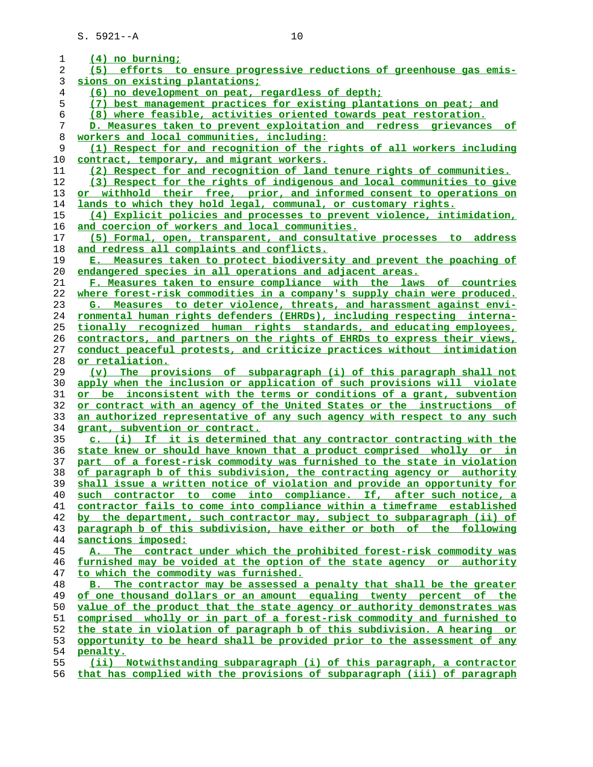| 1        | (4) no burning;                                                                                                                                     |
|----------|-----------------------------------------------------------------------------------------------------------------------------------------------------|
| 2        | (5) efforts to ensure progressive reductions of greenhouse gas emis-                                                                                |
| 3        | sions on existing plantations;                                                                                                                      |
| 4        | (6) no development on peat, regardless of depth;                                                                                                    |
| 5        | (7) best management practices for existing plantations on peat; and                                                                                 |
| 6        | (8) where feasible, activities oriented towards peat restoration.                                                                                   |
| 7        | D. Measures taken to prevent exploitation and redress grievances of                                                                                 |
| 8        | workers and local communities, including:                                                                                                           |
| 9        | (1) Respect for and recognition of the rights of all workers including                                                                              |
| 10       | contract, temporary, and migrant workers.                                                                                                           |
| 11       | (2) Respect for and recognition of land tenure rights of communities.                                                                               |
| 12       | (3) Respect for the rights of indigenous and local communities to give                                                                              |
| 13       | withhold their free, prior, and informed consent to operations on<br>or                                                                             |
| 14       | lands to which they hold legal, communal, or customary rights.                                                                                      |
| 15       | (4) Explicit policies and processes to prevent violence, intimidation,                                                                              |
| 16       | and coercion of workers and local communities.                                                                                                      |
| 17       | (5) Formal, open, transparent, and consultative processes to address                                                                                |
| 18       | and redress all complaints and conflicts.                                                                                                           |
| 19       | E. Measures taken to protect biodiversity and prevent the poaching of                                                                               |
| 20       | endangered species in all operations and adjacent areas.                                                                                            |
| 21       | F. Measures taken to ensure compliance with the laws of countries                                                                                   |
| 22       | where forest-risk commodities in a company's supply chain were produced.                                                                            |
| 23       | G. Measures to deter violence, threats, and harassment against envi-                                                                                |
| 24       | ronmental human rights defenders (EHRDs), including respecting interna-                                                                             |
| 25       | tionally recognized human rights standards, and educating employees,                                                                                |
| 26       | contractors, and partners on the rights of EHRDs to express their views,                                                                            |
| 27       |                                                                                                                                                     |
|          | conduct peaceful protests, and criticize practices without intimidation                                                                             |
| 28       | or retaliation.                                                                                                                                     |
| 29       | The provisions of subparagraph (i) of this paragraph shall not<br>$(\mathbf{v})$                                                                    |
| 30       | apply when the inclusion or application of such provisions will violate                                                                             |
| 31<br>32 | or be inconsistent with the terms or conditions of a grant, subvention                                                                              |
|          | or contract with an agency of the United States or the instructions of                                                                              |
| 33<br>34 | an authorized representative of any such agency with respect to any such<br>grant, subvention or contract.                                          |
|          | c. (i) If it is determined that any contractor contracting with the                                                                                 |
| 35       |                                                                                                                                                     |
| 36<br>37 | state knew or should have known that a product comprised wholly or in                                                                               |
|          | part of a forest-risk commodity was furnished to the state in violation                                                                             |
| 38<br>39 | of paragraph b of this subdivision, the contracting agency or authority<br>shall issue a written notice of violation and provide an opportunity for |
| 40       | such contractor to come into compliance. If, after such notice, a                                                                                   |
| 41       | contractor fails to come into compliance within a timeframe established                                                                             |
| 42       | by the department, such contractor may, subject to subparagraph (ii) of                                                                             |
| 43       | paragraph b of this subdivision, have either or both of the following                                                                               |
| 44       |                                                                                                                                                     |
|          | sanctions imposed:                                                                                                                                  |
| 45       | A. The contract under which the prohibited forest-risk commodity was                                                                                |
| 46       | furnished may be voided at the option of the state agency or authority                                                                              |
| 47       | to which the commodity was furnished.                                                                                                               |
| 48       | B. The contractor may be assessed a penalty that shall be the greater                                                                               |
| 49       | of one thousand dollars or an amount equaling twenty percent of the                                                                                 |
| 50       | value of the product that the state agency or authority demonstrates was                                                                            |
| 51       | comprised wholly or in part of a forest-risk commodity and furnished to                                                                             |
| 52       | the state in violation of paragraph b of this subdivision. A hearing or                                                                             |
| 53       | opportunity to be heard shall be provided prior to the assessment of any                                                                            |
| 54       | penalty.                                                                                                                                            |
| 55       | (ii) Notwithstanding subparagraph (i) of this paragraph, a contractor                                                                               |
| 56       | that has complied with the provisions of subparagraph (iii) of paragraph                                                                            |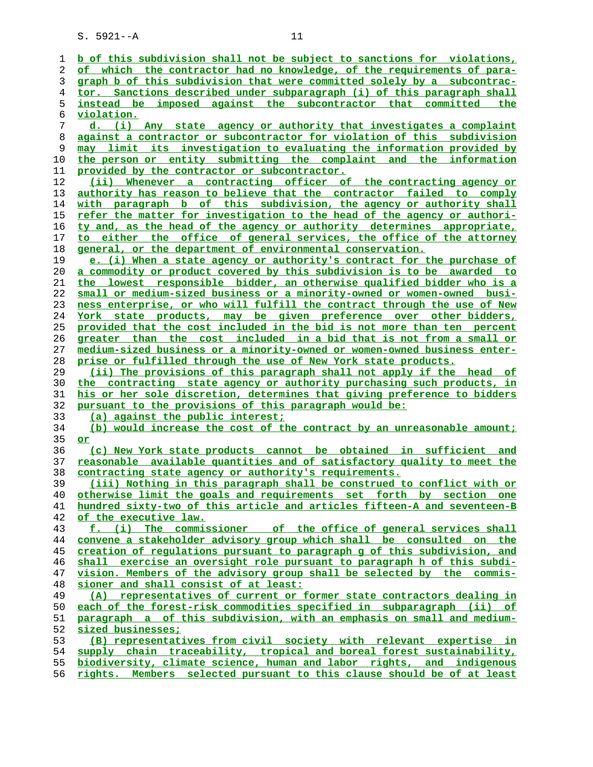| ı  | b of this subdivision shall not be subject to sanctions for violations,  |
|----|--------------------------------------------------------------------------|
|    | of which the contractor had no knowledge, of the requirements of para-   |
| 2  |                                                                          |
| 3  | graph b of this subdivision that were committed solely by a subcontrac-  |
| 4  | tor. Sanctions described under subparagraph (i) of this paragraph shall  |
| 5  | instead be imposed against the subcontractor that committed the          |
| 6  | <u>violation.</u>                                                        |
| 7  | d. (i) Any state agency or authority that investigates a complaint       |
| 8  | against a contractor or subcontractor for violation of this subdivision  |
| 9  | may limit its investigation to evaluating the information provided by    |
| 10 | the person or entity submitting the complaint and the information        |
| 11 | provided by the contractor or subcontractor.                             |
| 12 | (ii) Whenever a contracting officer of the contracting agency or         |
| 13 | authority has reason to believe that the contractor failed to comply     |
| 14 | with paragraph b of this subdivision, the agency or authority shall      |
| 15 | refer the matter for investigation to the head of the agency or authori- |
| 16 | ty and, as the head of the agency or authority determines appropriate,   |
| 17 | to either the office of general services, the office of the attorney     |
| 18 | general, or the department of environmental conservation.                |
| 19 | e. (i) When a state agency or authority's contract for the purchase of   |
| 20 | a commodity or product covered by this subdivision is to be awarded to   |
| 21 | the lowest responsible bidder, an otherwise qualified bidder who is a    |
| 22 | small or medium-sized business or a minority-owned or women-owned busi-  |
| 23 | ness enterprise, or who will fulfill the contract through the use of New |
|    |                                                                          |
| 24 | York state products, may be given preference over other bidders,         |
| 25 | provided that the cost included in the bid is not more than ten percent  |
| 26 | greater than the cost included in a bid that is not from a small or      |
| 27 | medium-sized business or a minority-owned or women-owned business enter- |
| 28 | prise or fulfilled through the use of New York state products.           |
| 29 | (ii) The provisions of this paragraph shall not apply if the head of     |
| 30 | the contracting state agency or authority purchasing such products, in   |
| 31 | his or her sole discretion, determines that giving preference to bidders |
| 32 | pursuant to the provisions of this paragraph would be:                   |
| 33 | (a) against the public interest;                                         |
| 34 | (b) would increase the cost of the contract by an unreasonable amount;   |
| 35 | or                                                                       |
| 36 | (c) New York state products cannot be obtained in sufficient and         |
| 37 | reasonable available quantities and of satisfactory quality to meet the  |
| 38 | contracting state agency or authority's requirements.                    |
| 39 | (iii) Nothing in this paragraph shall be construed to conflict with or   |
| 40 | otherwise limit the goals and requirements set forth by section one      |
| 41 | hundred sixty-two of this article and articles fifteen-A and seventeen-B |
| 42 | of the executive law.                                                    |
| 43 | f. (i) The commissioner of the office of general services shall          |
| 44 | convene a stakeholder advisory group which shall be consulted on the     |
| 45 | creation of regulations pursuant to paragraph g of this subdivision, and |
| 46 | shall exercise an oversight role pursuant to paragraph h of this subdi-  |
| 47 | vision. Members of the advisory group shall be selected by the commis-   |
| 48 | sioner and shall consist of at least:                                    |
| 49 | (A) representatives of current or former state contractors dealing in    |
| 50 | each of the forest-risk commodities specified in subparagraph (ii) of    |
| 51 | paragraph a of this subdivision, with an emphasis on small and medium-   |
| 52 | sized businesses;                                                        |
| 53 | (B) representatives from civil society with relevant expertise in        |
| 54 | supply chain traceability, tropical and boreal forest sustainability,    |
|    | biodiversity, climate science, human and labor rights, and indigenous    |
| 55 |                                                                          |
| 56 | rights. Members selected pursuant to this clause should be of at least   |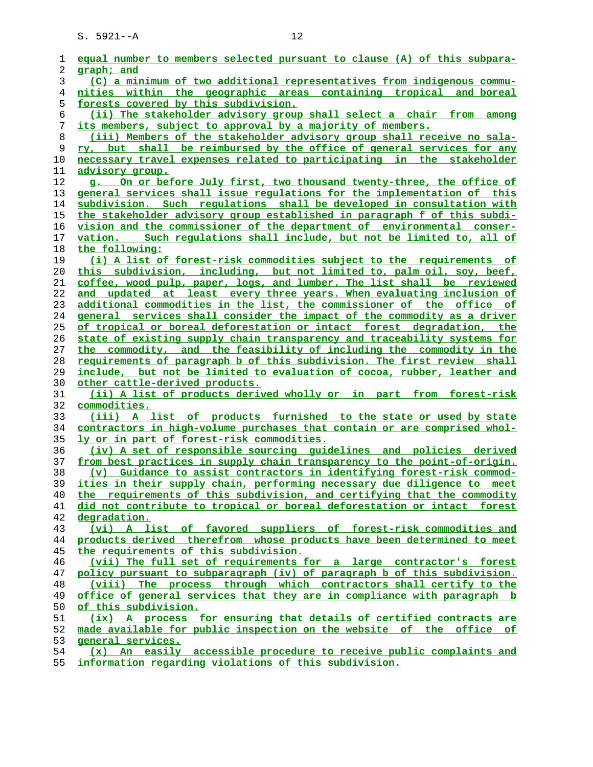| 1              | equal number to members selected pursuant to clause (A) of this subpara- |
|----------------|--------------------------------------------------------------------------|
| 2              | graph; and                                                               |
| 3              | (C) a minimum of two additional representatives from indigenous commu-   |
| $\overline{4}$ | nities within the geographic areas containing tropical and boreal        |
| 5              | forests covered by this subdivision.                                     |
| 6              | (ii) The stakeholder advisory group shall select a chair from among      |
| 7              | its members, subject to approval by a majority of members.               |
| 8              | (iii) Members of the stakeholder advisory group shall receive no sala-   |
| 9              | ry, but shall be reimbursed by the office of general services for any    |
| 10             | necessary travel expenses related to participating in the stakeholder    |
| 11             | advisory group.                                                          |
| 12             | g. On or before July first, two thousand twenty-three, the office of     |
| 13             | general services shall issue requlations for the implementation of this  |
| 14             | subdivision. Such regulations shall be developed in consultation with    |
| 15             | the stakeholder advisory group established in paragraph f of this subdi- |
| 16             | vision and the commissioner of the department of environmental conser-   |
| 17             | vation. Such requlations shall include, but not be limited to, all of    |
| 18             | the following:                                                           |
| 19             | (i) A list of forest-risk commodities subject to the requirements of     |
| 20             | this subdivision, including, but not limited to, palm oil, soy, beef,    |
| 21             | coffee, wood pulp, paper, logs, and lumber. The list shall be reviewed   |
| 22             | and updated at least every three years. When evaluating inclusion of     |
| 23             | additional commodities in the list, the commissioner of the office of    |
| 24             | general services shall consider the impact of the commodity as a driver  |
| 25             | of tropical or boreal deforestation or intact forest degradation, the    |
| 26             | state of existing supply chain transparency and traceability systems for |
| 27             | the commodity, and the feasibility of including the commodity in the     |
| 28             | requirements of paragraph b of this subdivision. The first review shall  |
| 29             | include, but not be limited to evaluation of cocoa, rubber, leather and  |
| 30             | other cattle-derived products.                                           |
| 31             | (ii) A list of products derived wholly or in part from forest-risk       |
| 32             | commodities.                                                             |
| 33             | (iii) A list of products furnished to the state or used by state         |
| 34             | contractors in high-volume purchases that contain or are comprised whol- |
| 35             | <u>ly or in part of forest-risk commodities.</u>                         |
| 36             | (iv) A set of responsible sourcing quidelines and policies derived       |
| 37             | from best practices in supply chain transparency to the point-of-origin. |
| 38             | (v) Guidance to assist contractors in identifying forest-risk commod-    |
| 39             | ities in their supply chain, performing necessary due diligence to meet  |
| 40             | the requirements of this subdivision, and certifying that the commodity  |
| 41             | did not contribute to tropical or boreal deforestation or intact forest  |
| 42             | degradation.                                                             |
| 43             | (vi) A list of favored suppliers of forest-risk commodities and          |
| 44             | products derived therefrom whose products have been determined to meet   |
| 45             | the requirements of this subdivision.                                    |
| 46             | (vii) The full set of requirements for a large contractor's forest       |
| 47             | policy pursuant to subparagraph (iv) of paragraph b of this subdivision. |
| 48             | (viii) The process through which contractors shall certify to the        |
| 49             | office of general services that they are in compliance with paragraph b  |
| 50             | of this subdivision.                                                     |
| 51             | (ix) A process for ensuring that details of certified contracts are      |
| 52             | made available for public inspection on the website of the office of     |
| 53             | general services.                                                        |
| 54             | (x) An easily accessible procedure to receive public complaints and      |
|                |                                                                          |

**information regarding violations of this subdivision.**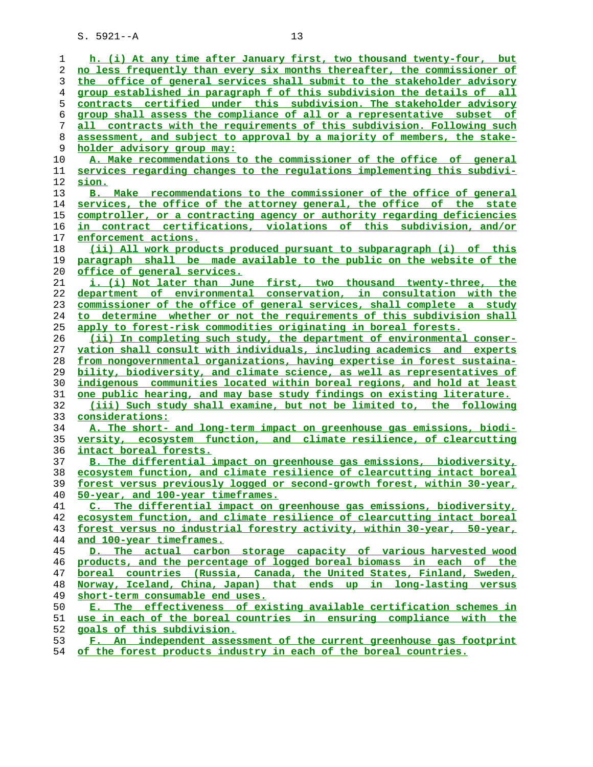| 1  | h. (i) At any time after January first, two thousand twenty-four, but      |
|----|----------------------------------------------------------------------------|
| 2  | no less frequently than every six months thereafter, the commissioner of   |
| 3  | the office of general services shall submit to the stakeholder advisory    |
| 4  | group established in paragraph f of this subdivision the details of all    |
| 5  | contracts certified under this subdivision. The stakeholder advisory       |
| 6  | group shall assess the compliance of all or a representative subset of     |
| 7  | contracts with the requirements of this subdivision. Following such<br>all |
| 8  | assessment, and subject to approval by a majority of members, the stake-   |
| 9  | holder advisory group may:                                                 |
| 10 | A. Make recommendations to the commissioner of the office of general       |
| 11 | services regarding changes to the regulations implementing this subdivi-   |
| 12 | sion.                                                                      |
| 13 | B. Make recommendations to the commissioner of the office of general       |
| 14 | services, the office of the attorney general, the office of<br>the state   |
| 15 | comptroller, or a contracting agency or authority regarding deficiencies   |
| 16 | in contract certifications, violations of this subdivision, and/or         |
| 17 | enforcement actions.                                                       |
| 18 | (ii) All work products produced pursuant to subparagraph (i) of this       |
| 19 | paragraph shall be made available to the public on the website of the      |
| 20 | office of general services.                                                |
|    |                                                                            |

**i. (i) Not later than June first, two thousand twenty-three, the department of environmental conservation, in consultation with the commissioner of the office of general services, shall complete a study to determine whether or not the requirements of this subdivision shall apply to forest-risk commodities originating in boreal forests.**

**(ii) In completing such study, the department of environmental conser- vation shall consult with individuals, including academics and experts from nongovernmental organizations, having expertise in forest sustaina- bility, biodiversity, and climate science, as well as representatives of indigenous communities located within boreal regions, and hold at least**

**one public hearing, and may base study findings on existing literature. (iii) Such study shall examine, but not be limited to, the following considerations:**

**A. The short- and long-term impact on greenhouse gas emissions, biodi- versity, ecosystem function, and climate resilience, of clearcutting intact boreal forests.**

**B. The differential impact on greenhouse gas emissions, biodiversity, ecosystem function, and climate resilience of clearcutting intact boreal forest versus previously logged or second-growth forest, within 30-year, 50-year, and 100-year timeframes.**

**C. The differential impact on greenhouse gas emissions, biodiversity, ecosystem function, and climate resilience of clearcutting intact boreal forest versus no industrial forestry activity, within 30-year, 50-year, and 100-year timeframes.**

**D. The actual carbon storage capacity of various harvested wood products, and the percentage of logged boreal biomass in each of the boreal countries (Russia, Canada, the United States, Finland, Sweden, Norway, Iceland, China, Japan) that ends up in long-lasting versus short-term consumable end uses.**

**E. The effectiveness of existing available certification schemes in use in each of the boreal countries in ensuring compliance with the goals of this subdivision.**

**F. An independent assessment of the current greenhouse gas footprint of the forest products industry in each of the boreal countries.**